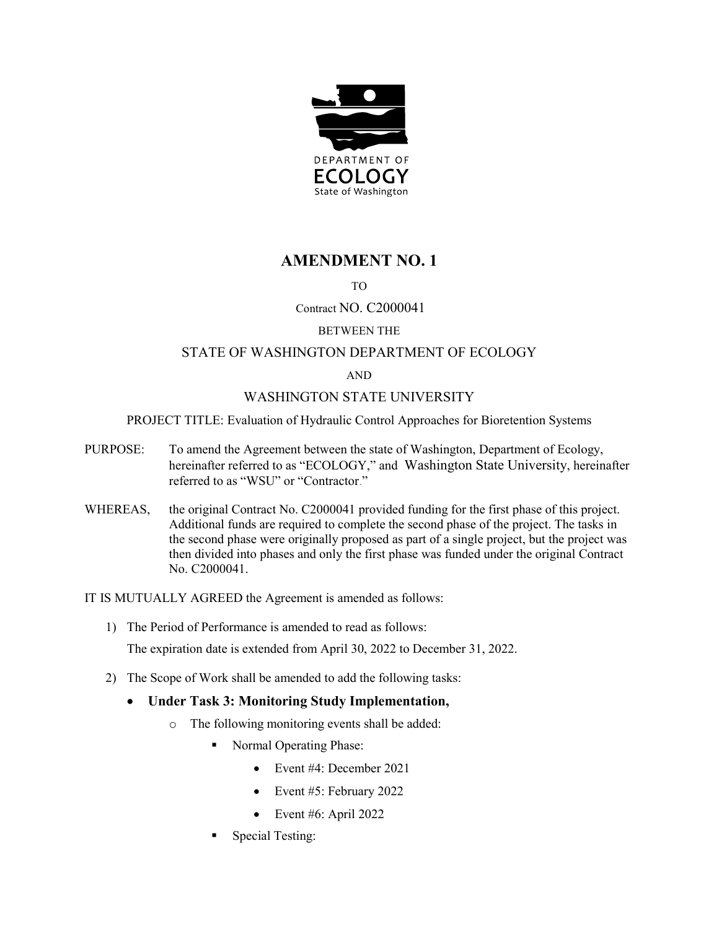

# **AMENDMENT NO. 1**

# TO

# Contract NO. C2000041

### BETWEEN THE

# STATE OF WASHINGTON DEPARTMENT OF ECOLOGY

#### AND

# WASHINGTON STATE UNIVERSITY

#### PROJECT TITLE: Evaluation of Hydraulic Control Approaches for Bioretention Systems

- PURPOSE: To amend the Agreement between the state of Washington, Department of Ecology, hereinafter referred to as "ECOLOGY," and Washington State University, hereinafter referred to as "WSU" or "Contractor."
- WHEREAS, the original Contract No. C2000041 provided funding for the first phase of this project. Additional funds are required to complete the second phase of the project. The tasks in the second phase were originally proposed as part of a single project, but the project was then divided into phases and only the first phase was funded under the original Contract No. C2000041.

IT IS MUTUALLY AGREED the Agreement is amended as follows:

1) The Period of Performance is amended to read as follows:

The expiration date is extended from April 30, 2022 to December 31, 2022.

2) The Scope of Work shall be amended to add the following tasks:

### • **Under Task 3: Monitoring Study Implementation,**

- o The following monitoring events shall be added:
	- Normal Operating Phase:
		- Event #4: December 2021
		- Event #5: February 2022
		- Event #6: April 2022
	- Special Testing: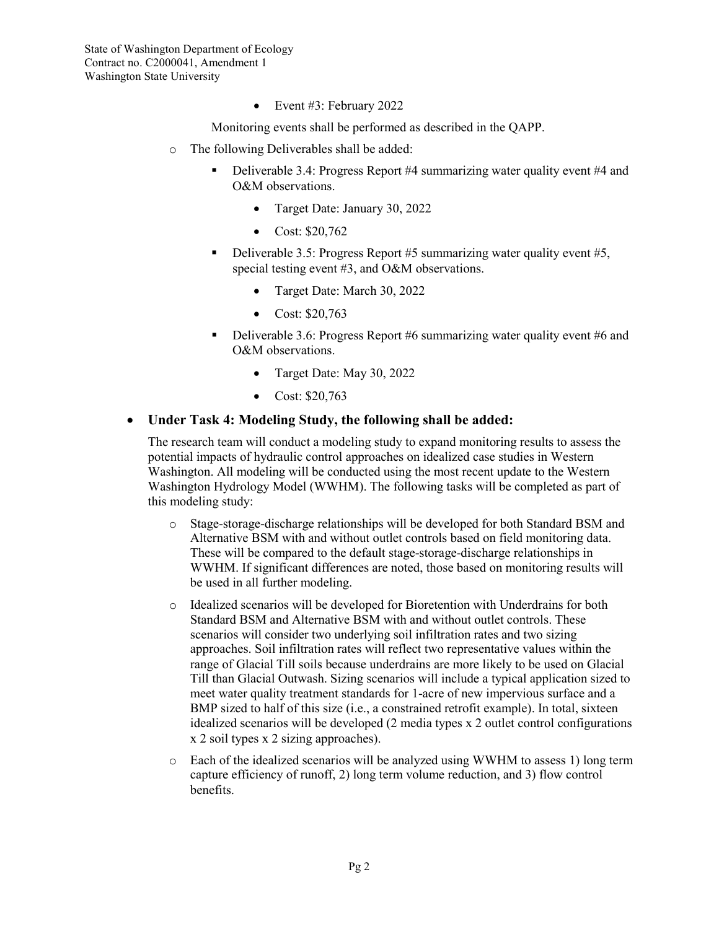State of Washington Department of Ecology Contract no. C2000041, Amendment 1 Washington State University

• Event #3: February 2022

Monitoring events shall be performed as described in the QAPP.

- o The following Deliverables shall be added:
	- Deliverable 3.4: Progress Report #4 summarizing water quality event #4 and O&M observations.
		- Target Date: January 30, 2022
		- Cost: \$20,762
	- Deliverable 3.5: Progress Report  $#5$  summarizing water quality event  $#5$ , special testing event #3, and O&M observations.
		- Target Date: March 30, 2022
		- Cost: \$20,763
	- Deliverable 3.6: Progress Report #6 summarizing water quality event #6 and O&M observations.
		- Target Date: May 30, 2022
		- Cost: \$20,763

# • **Under Task 4: Modeling Study, the following shall be added:**

The research team will conduct a modeling study to expand monitoring results to assess the potential impacts of hydraulic control approaches on idealized case studies in Western Washington. All modeling will be conducted using the most recent update to the Western Washington Hydrology Model (WWHM). The following tasks will be completed as part of this modeling study:

- o Stage-storage-discharge relationships will be developed for both Standard BSM and Alternative BSM with and without outlet controls based on field monitoring data. These will be compared to the default stage-storage-discharge relationships in WWHM. If significant differences are noted, those based on monitoring results will be used in all further modeling.
- o Idealized scenarios will be developed for Bioretention with Underdrains for both Standard BSM and Alternative BSM with and without outlet controls. These scenarios will consider two underlying soil infiltration rates and two sizing approaches. Soil infiltration rates will reflect two representative values within the range of Glacial Till soils because underdrains are more likely to be used on Glacial Till than Glacial Outwash. Sizing scenarios will include a typical application sized to meet water quality treatment standards for 1-acre of new impervious surface and a BMP sized to half of this size (i.e., a constrained retrofit example). In total, sixteen idealized scenarios will be developed (2 media types x 2 outlet control configurations x 2 soil types x 2 sizing approaches).
- o Each of the idealized scenarios will be analyzed using WWHM to assess 1) long term capture efficiency of runoff, 2) long term volume reduction, and 3) flow control benefits.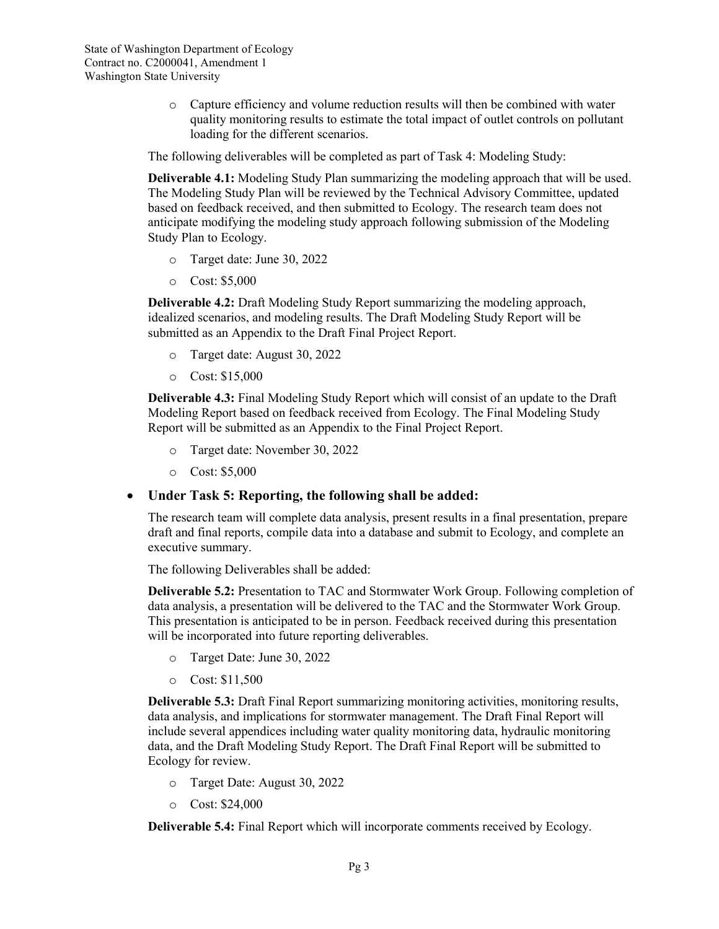o Capture efficiency and volume reduction results will then be combined with water quality monitoring results to estimate the total impact of outlet controls on pollutant loading for the different scenarios.

The following deliverables will be completed as part of Task 4: Modeling Study:

**Deliverable 4.1:** Modeling Study Plan summarizing the modeling approach that will be used. The Modeling Study Plan will be reviewed by the Technical Advisory Committee, updated based on feedback received, and then submitted to Ecology. The research team does not anticipate modifying the modeling study approach following submission of the Modeling Study Plan to Ecology.

- o Target date: June 30, 2022
- o Cost: \$5,000

**Deliverable 4.2:** Draft Modeling Study Report summarizing the modeling approach, idealized scenarios, and modeling results. The Draft Modeling Study Report will be submitted as an Appendix to the Draft Final Project Report.

- o Target date: August 30, 2022
- o Cost: \$15,000

**Deliverable 4.3:** Final Modeling Study Report which will consist of an update to the Draft Modeling Report based on feedback received from Ecology. The Final Modeling Study Report will be submitted as an Appendix to the Final Project Report.

- o Target date: November 30, 2022
- o Cost: \$5,000

### • **Under Task 5: Reporting, the following shall be added:**

The research team will complete data analysis, present results in a final presentation, prepare draft and final reports, compile data into a database and submit to Ecology, and complete an executive summary.

The following Deliverables shall be added:

**Deliverable 5.2:** Presentation to TAC and Stormwater Work Group. Following completion of data analysis, a presentation will be delivered to the TAC and the Stormwater Work Group. This presentation is anticipated to be in person. Feedback received during this presentation will be incorporated into future reporting deliverables.

- o Target Date: June 30, 2022
- o Cost: \$11,500

**Deliverable 5.3:** Draft Final Report summarizing monitoring activities, monitoring results, data analysis, and implications for stormwater management. The Draft Final Report will include several appendices including water quality monitoring data, hydraulic monitoring data, and the Draft Modeling Study Report. The Draft Final Report will be submitted to Ecology for review.

- o Target Date: August 30, 2022
- o Cost: \$24,000

**Deliverable 5.4:** Final Report which will incorporate comments received by Ecology.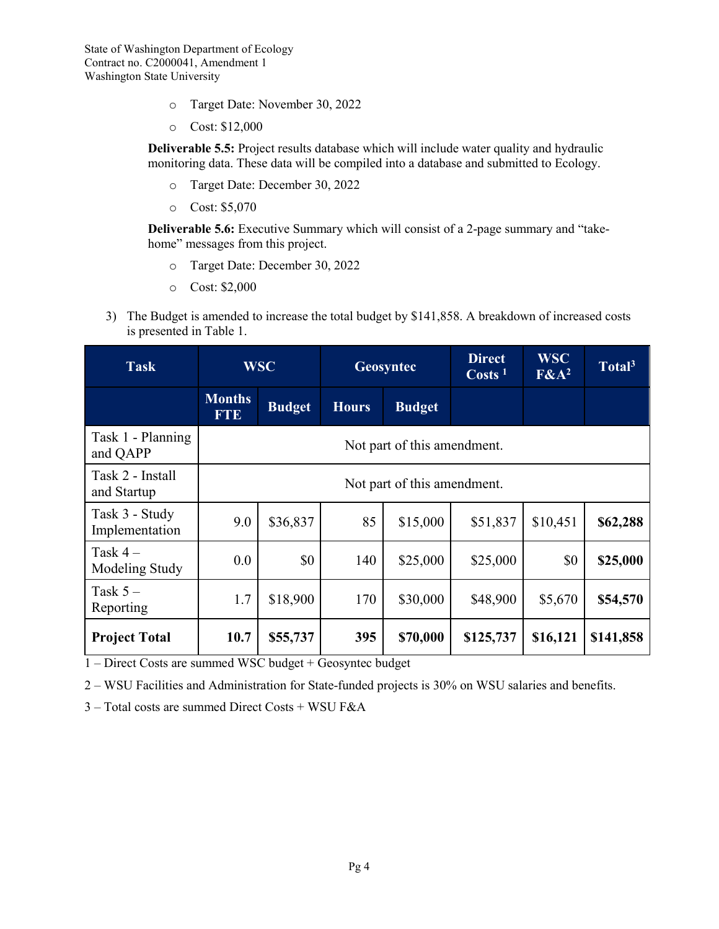- o Target Date: November 30, 2022
- o Cost: \$12,000

**Deliverable 5.5:** Project results database which will include water quality and hydraulic monitoring data. These data will be compiled into a database and submitted to Ecology.

- o Target Date: December 30, 2022
- o Cost: \$5,070

**Deliverable 5.6:** Executive Summary which will consist of a 2-page summary and "takehome" messages from this project.

- o Target Date: December 30, 2022
- o Cost: \$2,000
- 3) The Budget is amended to increase the total budget by \$141,858. A breakdown of increased costs is presented in Table 1.

| <b>Task</b>                      | <b>WSC</b>                  |               | Geosyntec    |               | <b>Direct</b><br>$\text{Costs}$ <sup>1</sup> | <b>WSC</b><br>$F\&A^2$ | Total <sup>3</sup> |
|----------------------------------|-----------------------------|---------------|--------------|---------------|----------------------------------------------|------------------------|--------------------|
|                                  | <b>Months</b><br><b>FTE</b> | <b>Budget</b> | <b>Hours</b> | <b>Budget</b> |                                              |                        |                    |
| Task 1 - Planning<br>and QAPP    | Not part of this amendment. |               |              |               |                                              |                        |                    |
| Task 2 - Install<br>and Startup  | Not part of this amendment. |               |              |               |                                              |                        |                    |
| Task 3 - Study<br>Implementation | 9.0                         | \$36,837      | 85           | \$15,000      | \$51,837                                     | \$10,451               | \$62,288           |
| Task $4-$<br>Modeling Study      | 0.0                         | \$0           | 140          | \$25,000      | \$25,000                                     | \$0                    | \$25,000           |
| Task $5-$<br>Reporting           | 1.7                         | \$18,900      | 170          | \$30,000      | \$48,900                                     | \$5,670                | \$54,570           |
| <b>Project Total</b>             | 10.7                        | \$55,737      | 395          | \$70,000      | \$125,737                                    | \$16,121               | \$141,858          |

1 – Direct Costs are summed WSC budget + Geosyntec budget

2 – WSU Facilities and Administration for State-funded projects is 30% on WSU salaries and benefits.

3 – Total costs are summed Direct Costs + WSU F&A